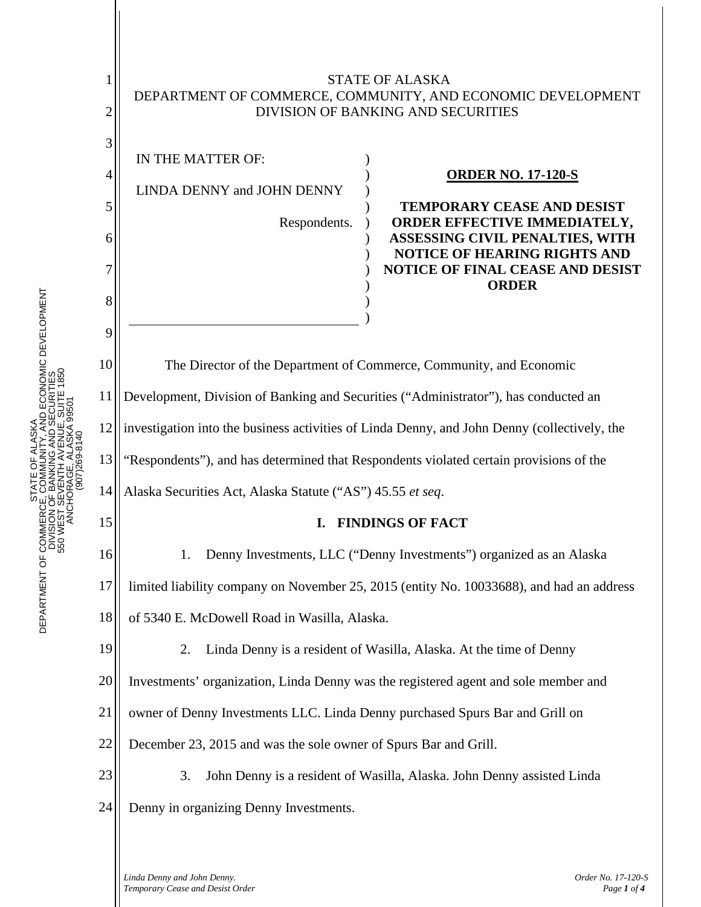

) ) ) ) ) ) ) ) ) )

| IN THE MATTER OF:          |
|----------------------------|
| LINDA DENNY and JOHN DENNY |
| Respondents.               |

## **ORDER NO. 17-120-S**

**TEMPORARY CEASE AND DESIST ORDER EFFECTIVE IMMEDIATELY, ASSESSING CIVIL PENALTIES, WITH NOTICE OF HEARING RIGHTS AND NOTICE OF FINAL CEASE AND DESIST ORDER** 

The Director of the Department of Commerce, Community, and Economic Development, Division of Banking and Securities ("Administrator"), has conducted an investigation into the business activities of Linda Denny, and John Denny (collectively, the "Respondents"), and has determined that Respondents violated certain provisions of the Alaska Securities Act, Alaska Statute ("AS") 45.55 *et seq*.

)

## **I. FINDINGS OF FACT**

1. Denny Investments, LLC ("Denny Investments") organized as an Alaska

17 limited liability company on November 25, 2015 (entity No. 10033688), and had an address

18 of 5340 E. McDowell Road in Wasilla, Alaska.

2. Linda Denny is a resident of Wasilla, Alaska. At the time of Denny

Investments' organization, Linda Denny was the registered agent and sole member and

21 owner of Denny Investments LLC. Linda Denny purchased Spurs Bar and Grill on

22 December 23, 2015 and was the sole owner of Spurs Bar and Grill.

23 24

3. John Denny is a resident of Wasilla, Alaska. John Denny assisted Linda Denny in organizing Denny Investments.

*Linda Denny and John Denny. Order No. 17-120-S Temporary Cease and Desist Order Page 1 of 4 Page 1 of 4 Page 1 of 4 Page 1 of 4* 

3

4

5

6

7

8

9

10

11

12

13

14

15

16

19

20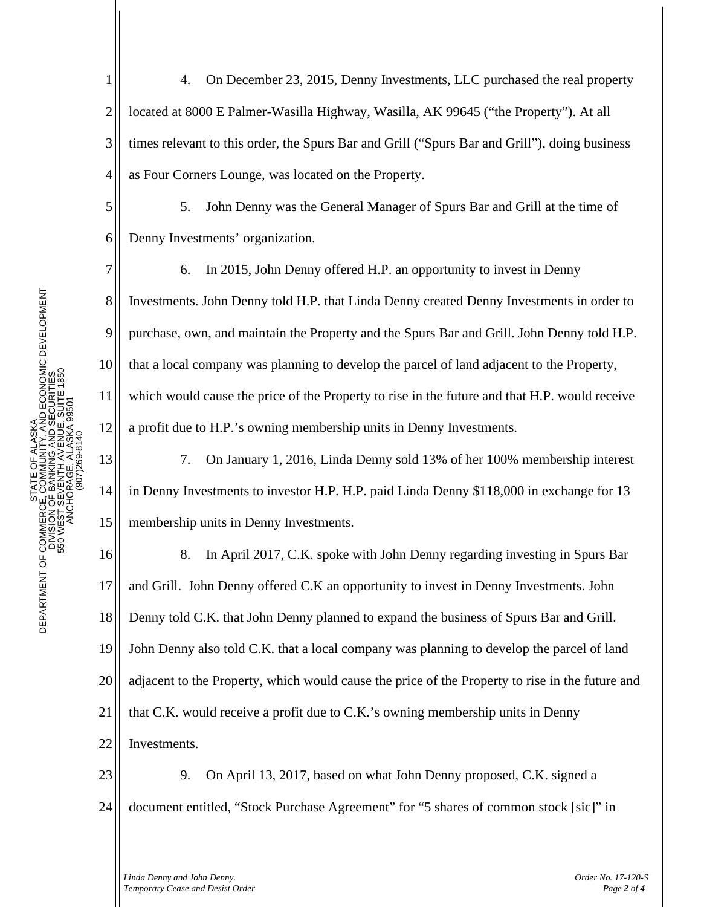5

6

7

8

9

10

11

12

13

14

15

1 2 3 4 4. On December 23, 2015, Denny Investments, LLC purchased the real property located at 8000 E Palmer-Wasilla Highway, Wasilla, AK 99645 ("the Property"). At all times relevant to this order, the Spurs Bar and Grill ("Spurs Bar and Grill"), doing business as Four Corners Lounge, was located on the Property.

5. John Denny was the General Manager of Spurs Bar and Grill at the time of Denny Investments' organization.

6. In 2015, John Denny offered H.P. an opportunity to invest in Denny Investments. John Denny told H.P. that Linda Denny created Denny Investments in order to purchase, own, and maintain the Property and the Spurs Bar and Grill. John Denny told H.P. that a local company was planning to develop the parcel of land adjacent to the Property, which would cause the price of the Property to rise in the future and that H.P. would receive a profit due to H.P.'s owning membership units in Denny Investments.

7. On January 1, 2016, Linda Denny sold 13% of her 100% membership interest in Denny Investments to investor H.P. H.P. paid Linda Denny \$118,000 in exchange for 13 membership units in Denny Investments.

16 17 18 19 20 21 22 8. In April 2017, C.K. spoke with John Denny regarding investing in Spurs Bar and Grill. John Denny offered C.K an opportunity to invest in Denny Investments. John Denny told C.K. that John Denny planned to expand the business of Spurs Bar and Grill. John Denny also told C.K. that a local company was planning to develop the parcel of land adjacent to the Property, which would cause the price of the Property to rise in the future and that C.K. would receive a profit due to C.K.'s owning membership units in Denny Investments.

23 24 9. On April 13, 2017, based on what John Denny proposed, C.K. signed a document entitled, "Stock Purchase Agreement" for "5 shares of common stock [sic]" in

*Linda Denny and John Denny. Order No. 17-120-S Temporary Cease and Desist Order Page 2 of 4 Page 2 of 4*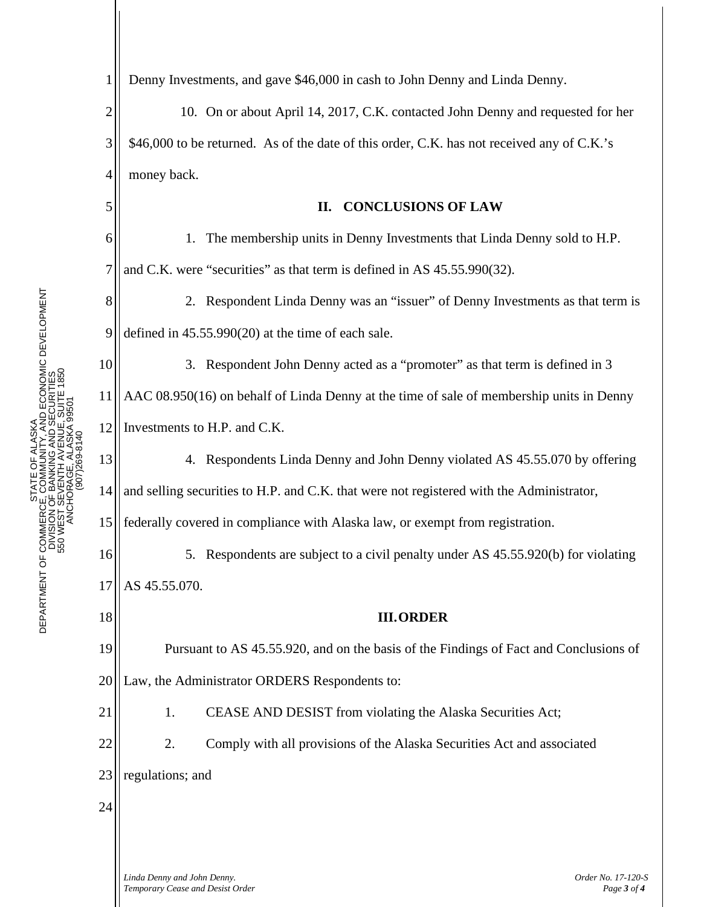1

5

6

7

13

14

15

18

21

Denny Investments, and gave \$46,000 in cash to John Denny and Linda Denny.

2 3 4 10. On or about April 14, 2017, C.K. contacted John Denny and requested for her \$46,000 to be returned. As of the date of this order, C.K. has not received any of C.K.'s money back.

## **II. CONCLUSIONS OF LAW**

1. The membership units in Denny Investments that Linda Denny sold to H.P. and C.K. were "securities" as that term is defined in AS 45.55.990(32).

8 9 2. Respondent Linda Denny was an "issuer" of Denny Investments as that term is defined in 45.55.990(20) at the time of each sale.

10 11 12 3. Respondent John Denny acted as a "promoter" as that term is defined in 3 AAC 08.950(16) on behalf of Linda Denny at the time of sale of membership units in Denny Investments to H.P. and C.K.

4. Respondents Linda Denny and John Denny violated AS 45.55.070 by offering and selling securities to H.P. and C.K. that were not registered with the Administrator, federally covered in compliance with Alaska law, or exempt from registration.

16 17 5. Respondents are subject to a civil penalty under AS 45.55.920(b) for violating AS 45.55.070.

**III.ORDER**

19 20 Pursuant to AS 45.55.920, and on the basis of the Findings of Fact and Conclusions of Law, the Administrator ORDERS Respondents to:

1. CEASE AND DESIST from violating the Alaska Securities Act;

22 2. Comply with all provisions of the Alaska Securities Act and associated

23 regulations; and

24